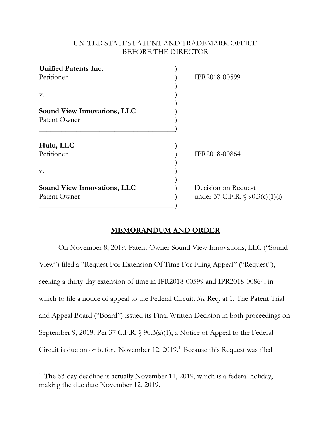## UNITED STATES PATENT AND TRADEMARK OFFICE BEFORE THE DIRECTOR

| <b>Unified Patents Inc.</b><br>Petitioner          | IPR2018-00599                                          |
|----------------------------------------------------|--------------------------------------------------------|
| v.                                                 |                                                        |
| <b>Sound View Innovations, LLC</b><br>Patent Owner |                                                        |
| Hulu, LLC<br>Petitioner<br>v.                      | IPR2018-00864                                          |
| <b>Sound View Innovations, LLC</b><br>Patent Owner | Decision on Request<br>under 37 C.F.R. § 90.3(c)(1)(i) |

## **MEMORANDUM AND ORDER**

 On November 8, 2019, Patent Owner Sound View Innovations, LLC ("Sound View") filed a "Request For Extension Of Time For Filing Appeal" ("Request"), seeking a thirty-day extension of time in IPR2018-00599 and IPR2018-00864, in which to file a notice of appeal to the Federal Circuit. *See* Req. at 1. The Patent Trial and Appeal Board ("Board") issued its Final Written Decision in both proceedings on September 9, 2019. Per 37 C.F.R. § 90.3(a)(1), a Notice of Appeal to the Federal Circuit is due on or before November 12, 2019.<sup>1</sup> Because this Request was filed

 $\overline{\phantom{a}}$ 

<sup>&</sup>lt;sup>1</sup> The 63-day deadline is actually November 11, 2019, which is a federal holiday, making the due date November 12, 2019.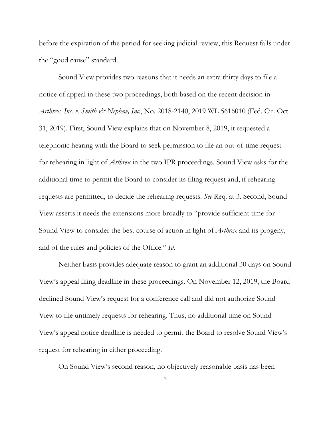before the expiration of the period for seeking judicial review, this Request falls under the "good cause" standard.

 Sound View provides two reasons that it needs an extra thirty days to file a notice of appeal in these two proceedings, both based on the recent decision in *Arthrex, Inc. v. Smith & Nephew, Inc.*, No. 2018-2140, 2019 WL 5616010 (Fed. Cir. Oct. 31, 2019). First, Sound View explains that on November 8, 2019, it requested a telephonic hearing with the Board to seek permission to file an out-of-time request for rehearing in light of *Arthrex* in the two IPR proceedings. Sound View asks for the additional time to permit the Board to consider its filing request and, if rehearing requests are permitted, to decide the rehearing requests. *See* Req. at 3. Second, Sound View asserts it needs the extensions more broadly to "provide sufficient time for Sound View to consider the best course of action in light of *Arthrex* and its progeny, and of the rules and policies of the Office." *Id.*

 Neither basis provides adequate reason to grant an additional 30 days on Sound View's appeal filing deadline in these proceedings. On November 12, 2019, the Board declined Sound View's request for a conference call and did not authorize Sound View to file untimely requests for rehearing. Thus, no additional time on Sound View's appeal notice deadline is needed to permit the Board to resolve Sound View's request for rehearing in either proceeding.

On Sound View's second reason, no objectively reasonable basis has been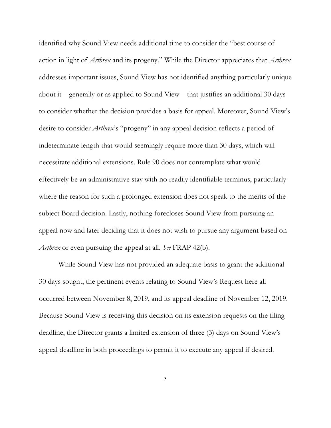identified why Sound View needs additional time to consider the "best course of action in light of *Arthrex* and its progeny." While the Director appreciates that *Arthrex* addresses important issues, Sound View has not identified anything particularly unique about it—generally or as applied to Sound View—that justifies an additional 30 days to consider whether the decision provides a basis for appeal. Moreover, Sound View's desire to consider *Arthrex*'s "progeny" in any appeal decision reflects a period of indeterminate length that would seemingly require more than 30 days, which will necessitate additional extensions. Rule 90 does not contemplate what would effectively be an administrative stay with no readily identifiable terminus, particularly where the reason for such a prolonged extension does not speak to the merits of the subject Board decision. Lastly, nothing forecloses Sound View from pursuing an appeal now and later deciding that it does not wish to pursue any argument based on *Arthrex* or even pursuing the appeal at all. *See* FRAP 42(b).

While Sound View has not provided an adequate basis to grant the additional 30 days sought, the pertinent events relating to Sound View's Request here all occurred between November 8, 2019, and its appeal deadline of November 12, 2019. Because Sound View is receiving this decision on its extension requests on the filing deadline, the Director grants a limited extension of three (3) days on Sound View's appeal deadline in both proceedings to permit it to execute any appeal if desired.